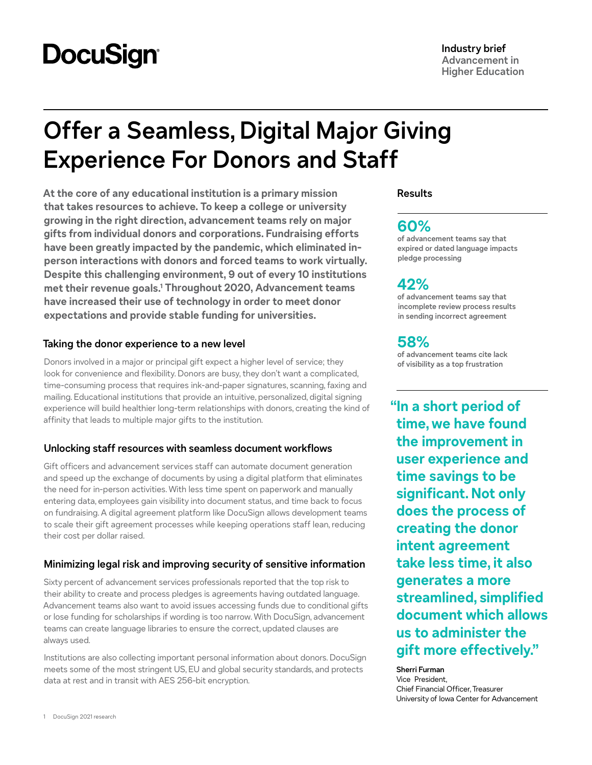# **DocuSign**

# **Offer a Seamless, Digital Major Giving Experience For Donors and Staff**

**At the core of any educational institution is a primary mission that takes resources to achieve. To keep a college or university growing in the right direction, advancement teams rely on major gifts from individual donors and corporations. Fundraising efforts have been greatly impacted by the pandemic, which eliminated inperson interactions with donors and forced teams to work virtually. Despite this challenging environment, 9 out of every 10 institutions met their revenue goals.1 Throughout 2020, Advancement teams have increased their use of technology in order to meet donor expectations and provide stable funding for universities.**

## **Taking the donor experience to a new level**

Donors involved in a major or principal gift expect a higher level of service; they look for convenience and flexibility. Donors are busy, they don't want a complicated, time-consuming process that requires ink-and-paper signatures, scanning, faxing and mailing. Educational institutions that provide an intuitive, personalized, digital signing experience will build healthier long-term relationships with donors, creating the kind of affinity that leads to multiple major gifts to the institution.

## **Unlocking staff resources with seamless document workflows**

Gift officers and advancement services staff can automate document generation and speed up the exchange of documents by using a digital platform that eliminates the need for in-person activities. With less time spent on paperwork and manually entering data, employees gain visibility into document status, and time back to focus on fundraising. A digital agreement platform like DocuSign allows development teams to scale their gift agreement processes while keeping operations staff lean, reducing their cost per dollar raised.

## **Minimizing legal risk and improving security of sensitive information**

Sixty percent of advancement services professionals reported that the top risk to their ability to create and process pledges is agreements having outdated language. Advancement teams also want to avoid issues accessing funds due to conditional gifts or lose funding for scholarships if wording is too narrow. With DocuSign, advancement teams can create language libraries to ensure the correct, updated clauses are always used.

Institutions are also collecting important personal information about donors. DocuSign meets some of the most stringent US, EU and global security standards, and protects data at rest and in transit with AES 256-bit encryption.

## **Results**

## **60%**

**of advancement teams say that expired or dated language impacts pledge processing**

# **42%**

**of advancement teams say that incomplete review process results in sending incorrect agreement**

# **58%**

**of advancement teams cite lack of visibility as a top frustration**

**"In a short period of time, we have found the improvement in user experience and time savings to be significant. Not only does the process of creating the donor intent agreement take less time, it also generates a more streamlined, simplified document which allows us to administer the gift more effectively."**

**Sherri Furman** Vice President, Chief Financial Officer, Treasurer University of Iowa Center for Advancement